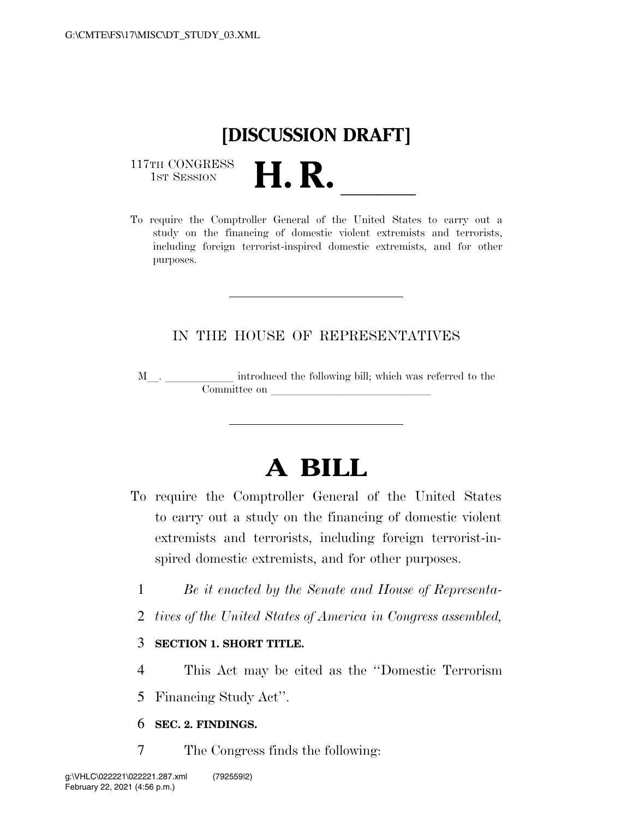## **[DISCUSSION DRAFT]**

117TH CONGRESS<br>1st Session



### IN THE HOUSE OF REPRESENTATIVES

M<sub>\_\_\_</sub>. \_\_\_\_\_\_\_\_\_\_\_\_\_ introduced the following bill; which was referred to the  ${\bf Committee \ on \ \_\_}$ 

# **A BILL**

- To require the Comptroller General of the United States to carry out a study on the financing of domestic violent extremists and terrorists, including foreign terrorist-inspired domestic extremists, and for other purposes.
	- 1 *Be it enacted by the Senate and House of Representa-*
	- 2 *tives of the United States of America in Congress assembled,*

#### 3 **SECTION 1. SHORT TITLE.**

4 This Act may be cited as the ''Domestic Terrorism

5 Financing Study Act''.

### 6 **SEC. 2. FINDINGS.**

7 The Congress finds the following: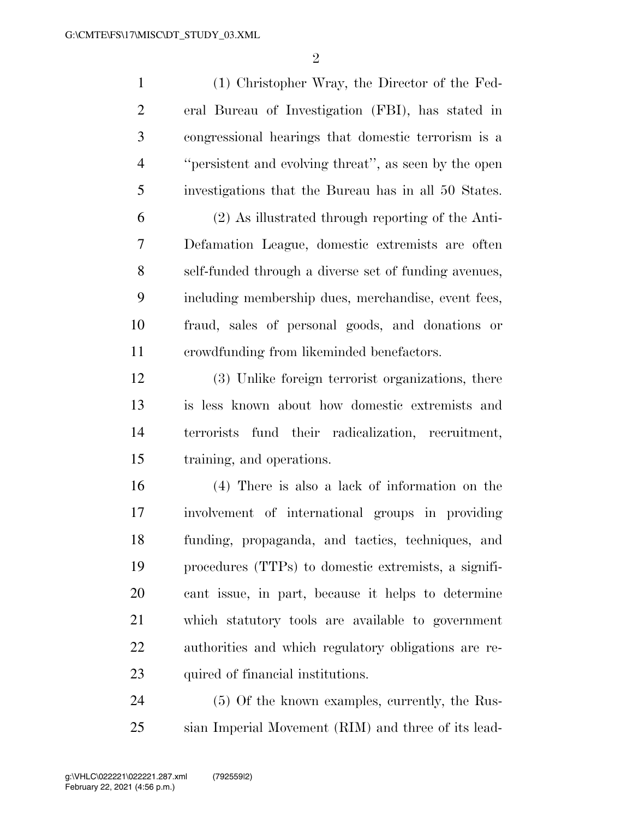(1) Christopher Wray, the Director of the Fed- eral Bureau of Investigation (FBI), has stated in congressional hearings that domestic terrorism is a ''persistent and evolving threat'', as seen by the open investigations that the Bureau has in all 50 States. (2) As illustrated through reporting of the Anti- Defamation League, domestic extremists are often self-funded through a diverse set of funding avenues, including membership dues, merchandise, event fees, fraud, sales of personal goods, and donations or crowdfunding from likeminded benefactors. (3) Unlike foreign terrorist organizations, there is less known about how domestic extremists and terrorists fund their radicalization, recruitment, training, and operations. (4) There is also a lack of information on the involvement of international groups in providing funding, propaganda, and tactics, techniques, and procedures (TTPs) to domestic extremists, a signifi-

 cant issue, in part, because it helps to determine which statutory tools are available to government authorities and which regulatory obligations are re-23 quired of financial institutions.

 (5) Of the known examples, currently, the Rus-sian Imperial Movement (RIM) and three of its lead-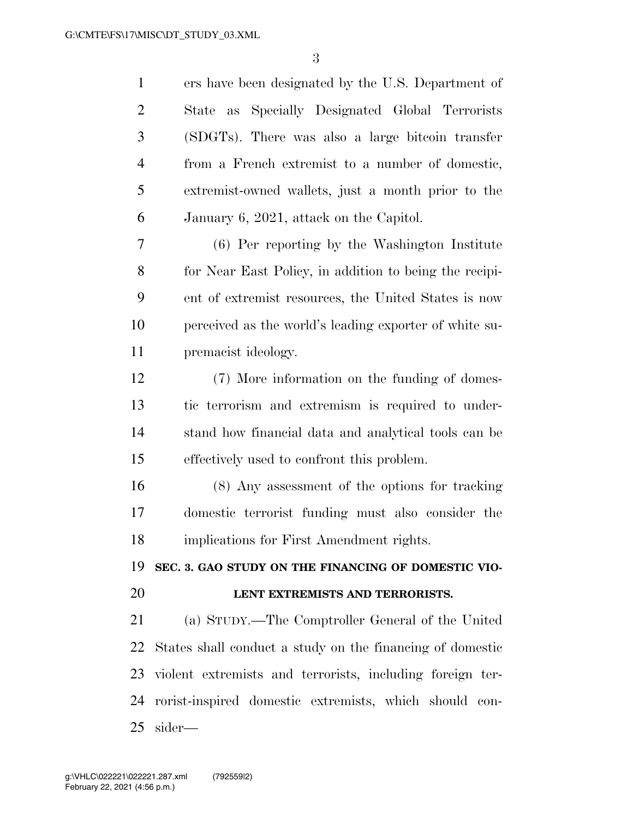ers have been designated by the U.S. Department of State as Specially Designated Global Terrorists (SDGTs). There was also a large bitcoin transfer from a French extremist to a number of domestic, extremist-owned wallets, just a month prior to the January 6, 2021, attack on the Capitol. (6) Per reporting by the Washington Institute for Near East Policy, in addition to being the recipi- ent of extremist resources, the United States is now perceived as the world's leading exporter of white su- premacist ideology. (7) More information on the funding of domes- tic terrorism and extremism is required to under- stand how financial data and analytical tools can be effectively used to confront this problem. (8) Any assessment of the options for tracking domestic terrorist funding must also consider the implications for First Amendment rights. **SEC. 3. GAO STUDY ON THE FINANCING OF DOMESTIC VIO- LENT EXTREMISTS AND TERRORISTS.**  (a) STUDY.—The Comptroller General of the United States shall conduct a study on the financing of domestic violent extremists and terrorists, including foreign ter- rorist-inspired domestic extremists, which should con-sider—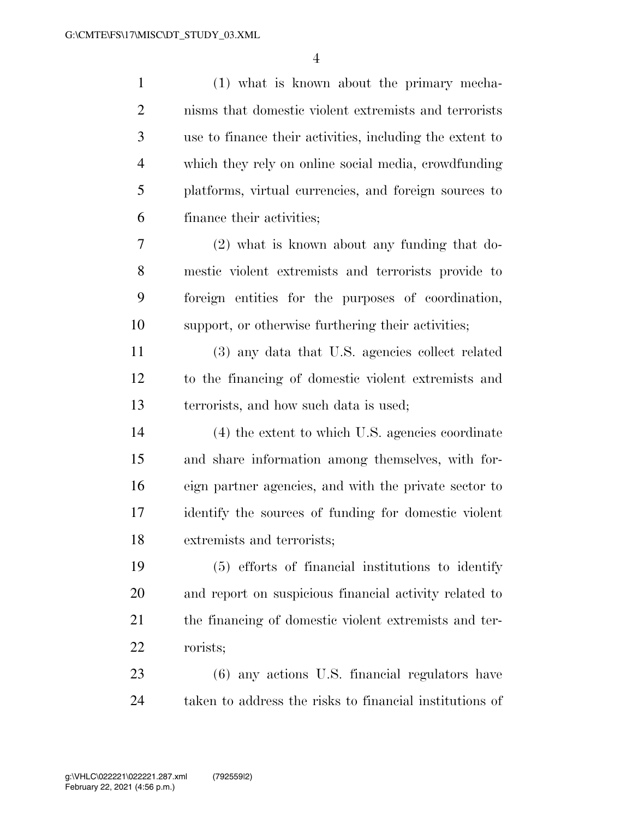| $\mathbf{1}$   | (1) what is known about the primary mecha-               |
|----------------|----------------------------------------------------------|
| $\overline{2}$ | nisms that domestic violent extremists and terrorists    |
| 3              | use to finance their activities, including the extent to |
| $\overline{4}$ | which they rely on online social media, crowdfunding     |
| 5              | platforms, virtual currencies, and foreign sources to    |
| 6              | finance their activities;                                |
| 7              | $(2)$ what is known about any funding that do-           |
| 8              | mestic violent extremists and terrorists provide to      |
| 9              | foreign entities for the purposes of coordination,       |
| 10             | support, or otherwise furthering their activities;       |
| 11             | (3) any data that U.S. agencies collect related          |
| 12             | to the financing of domestic violent extremists and      |
| 13             | terrorists, and how such data is used;                   |
| 14             | (4) the extent to which U.S. agencies coordinate         |
| 15             | and share information among themselves, with for-        |
| 16             | eign partner agencies, and with the private sector to    |
| 17             | identify the sources of funding for domestic violent     |
| 18             | extremists and terrorists;                               |
| 19             | (5) efforts of financial institutions to identify        |
| 20             | and report on suspicious financial activity related to   |
| 21             | the financing of domestic violent extremists and ter-    |
| 22             | rorists;                                                 |
| 23             | (6) any actions U.S. financial regulators have           |
| 24             | taken to address the risks to financial institutions of  |